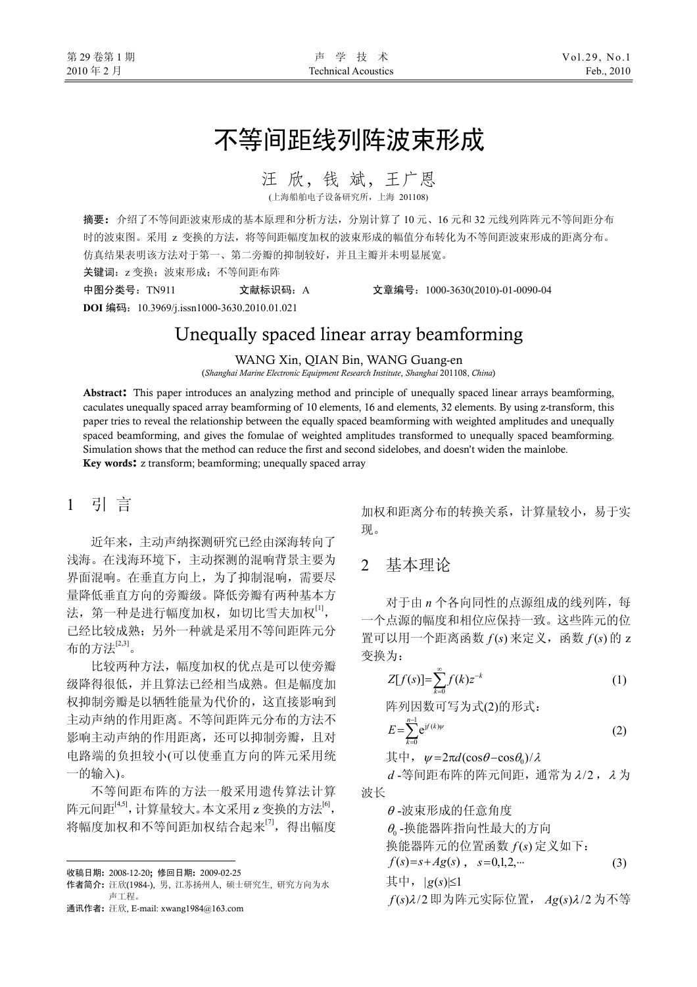# 不等间距线列阵波束形成

汪 欣,钱 斌,王广恩

。<br><sub>無船舶电子设备研究所, 上海 201</sub>

摘要:介绍了不等间距波束形成的基本原理和分析方法,分别计算了 10 元、16 元和 32 元线列阵阵元不等间距分布 时的波束图。采用 z 变换的方法,将等间距幅度加权的波束形成的幅值分布转化为不等间距波束形成的距离分布。 仿真结果表明该方法对于第一、第二旁瓣的抑制较好,并且主瓣并未明显展宽。

关键词: z 变换; 波束形成; 不等间距布阵

中图分类号:TN911 文献标识码:A 文章编号:1000-3630(2010)-01-0090-04

**DOI** 编码:10.3969/j.issn1000-3630.2010.01.021

# Unequally spaced linear array beamforming

#### WANG Xin, QIAN Bin, WANG Guang-en

(*Shanghai Marine Electronic Equipment Research Institute*, *Shanghai* 201108, *China*)

Abstract: This paper introduces an analyzing method and principle of unequally spaced linear arrays beamforming, caculates unequally spaced array beamforming of 10 elements, 16 and elements, 32 elements. By using z-transform, this paper tries to reveal the relationship between the equally spaced beamforming with weighted amplitudes and unequally spaced beamforming, and gives the fomulae of weighted amplitudes transformed to unequally spaced beamforming. Simulation shows that the method can reduce the first and second sidelobes, and doesn't widen the mainlobe. Key words: z transform; beamforming; unequally spaced array

#### 1引 言

近年来,主动声纳探测研究已经由深海转向了 浅海。在浅海环境下,主动探测的混响背景主要为 界面混响。在垂直方向上,为了抑制混响,需要尽 量降低垂直方向的旁瓣级。降低旁瓣有两种基本方 法,第一种是进行幅度加权,如切比雪夫加权<sup>[1]</sup>, 已经比较成熟;另外一种就是采用不等间距阵元分 布的方法[2,3]。

比较两种方法,幅度加权的优点是可以使旁瓣 级降得很低,并且算法已经相当成熟。但是幅度加 权抑制旁瓣是以牺牲能量为代价的,这直接影响到 主动声纳的作用距离。不等间距阵元分布的方法不 影响主动声纳的作用距离,还可以抑制旁瓣,且对 电路端的负担较小(可以使垂直方向的阵元采用统 一的输入)。

不等间距布阵的方法一般采用遗传算法计算 阵元间距<sup>[4,5]</sup>, 计算量较大。本文采用 z 变换的方法<sup>[6]</sup>, 将幅度加权和不等间距加权结合起来<sup>[7]</sup>, 得出幅度

 $\overline{a}$ 

加权和距离分布的转换关系,计算量较小,易于实 现。

#### 2 基本理论

对于由 *n* 个各向同性的点源组成的线列阵,每 一个点源的幅度和相位应保持一致。这些阵元的位 置可以用一个距离函数  $f(s)$  来定义, 函数  $f(s)$  的 z 变换为:

$$
Z[f(s)] = \sum_{k=0}^{\infty} f(k) z^{-k}
$$
 (1)

阵列因数可写为式(2)的形式:

$$
E = \sum_{k=0}^{n-1} e^{j^{(k)\psi}} \tag{2}
$$

 $\ddot{\text{H}}$  = 2 $\pi d(\cos\theta - \cos\theta_0)/\lambda$ 

*d* -等间距布阵的阵元间距,通常为λ/2 ,<sup>λ</sup> 为 波长

<sup>θ</sup> -波束形成的任意角度

 $\theta$ 。换能器阵指向性最大的方向

换能器阵元的位置函数  $f(s)$  定义如下:

 $f(s)=s+A g(s)$ ,  $s=0,1,2,...$  (3)

其中,  $| g(s) | \leq 1$ 

 $f(s)$ λ/2 即为阵元实际位置,  $Ag(s)$ λ/2 为不等

收稿日期: 2008-12-20; 修回日期: 2009-02-25

作者简介: 汪欣(1984-), 男, 江苏扬州人, 硕士研究生, 研究方向为水 声工程。

通讯作者: 汪欣, E-mail: xwang1984@163.com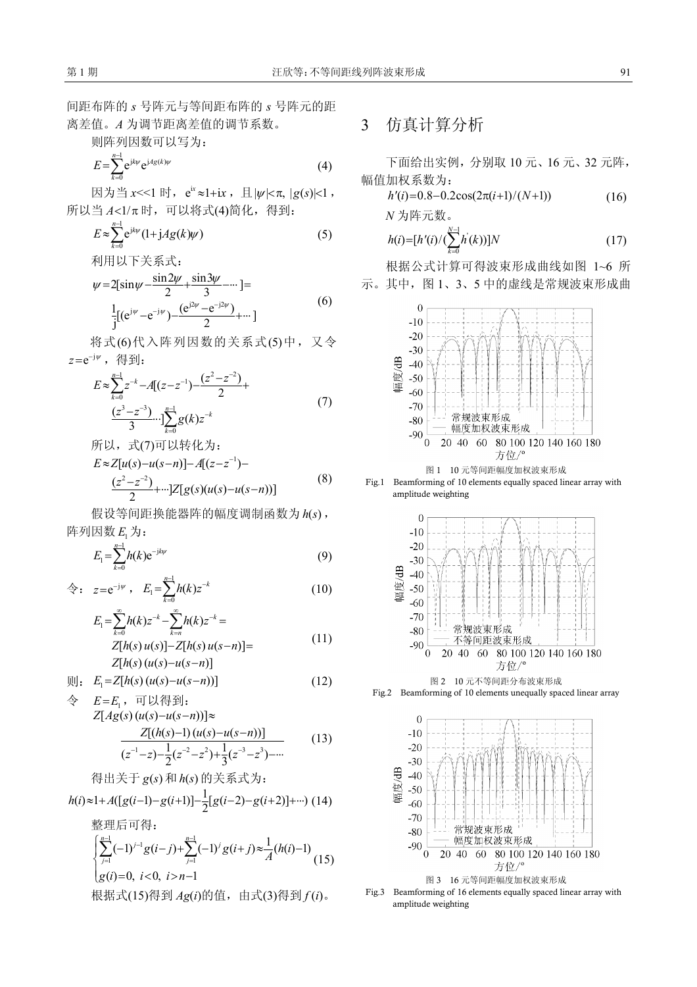间距布阵的 *s* 号阵元与等间距布阵的 *s* 号阵元的距 离差值。*A* 为调节距离差值的调节系数。

则阵列因数可以写为:

$$
E = \sum_{k=0}^{n-1} e^{jk\psi} e^{jA g(k)\psi} \tag{4}
$$

因为当 *x*<<1 时,e<sup>ix</sup>≈1+ix ,且|ψ|<π, |g(s)|<1 ,  $f$ 所以当  $A < 1/\pi$  时, 可以将式(4)简化, 得到:

$$
E \approx \sum_{k=0}^{n-1} e^{jk\psi} (1 + jAg(k)\psi)
$$
 (5)

利用以下关系式:

$$
\psi = 2\left[\sin\psi - \frac{\sin 2\psi}{2} + \frac{\sin 3\psi}{3} - \cdots\right] =
$$
  
\n
$$
\frac{1}{j} \left[ (e^{j\psi} - e^{-j\psi}) - \frac{(e^{j2\psi} - e^{-j2\psi})}{2} + \cdots \right]
$$
 (6)

将式(6)代入阵列因数的关系式(5)中,又令 *z*=e<sup>−j</sup>″,得到:

$$
E \approx \sum_{k=0}^{n-1} z^{-k} - A[(z - z^{-1}) - \frac{(z^2 - z^{-2})}{2} + \frac{(z^3 - z^{-3})}{3} \cdots] \sum_{k=0}^{n-1} g(k) z^{-k}
$$
\n
$$
(7)
$$

所以,式(7)可以转化为:

$$
E \approx Z[u(s) - u(s-n)] - A[(z-z^{-1}) - (z^2-z^{-2}) + \cdots]Z[g(s)(u(s) - u(s-n))] \tag{8}
$$

假设等间距换能器阵的幅度调制函数为 h(s), 阵列因数  $E_1$  为:

$$
E_1 = \sum_{k=0}^{n-1} h(k) e^{-jk\psi} \tag{9}
$$

$$
\hat{\Leftrightarrow}: z = e^{-j\psi}, E_1 = \sum_{k=0}^{n-1} h(k) z^{-k} \qquad (10)
$$

$$
E_{1} = \sum_{k=0}^{\infty} h(k)z^{-k} - \sum_{k=n}^{\infty} h(k)z^{-k} =
$$
  
\n
$$
Z[h(s) u(s)] - Z[h(s) u(s-n)] =
$$
  
\n
$$
Z[h(s) (u(s) - u(s-n))]
$$
\n(11)

$$
\mathbb{I}: \quad E_1 = Z[h(s) \left( u(s) - u(s-n) \right)] \tag{12}
$$

$$
\hat{\Leftrightarrow} \quad E = E_1, \quad \overline{\text{H}} \cup \{\overline{\text{H}}\} : Z[Ag(s) (u(s)-u(s-n))] \approx \frac{Z[(h(s)-1) (u(s)-u(s-n))]}{(z^{-1}-z) - \frac{1}{2}(z^{-2}-z^{2}) + \frac{1}{3}(z^{-3}-z^{3}) - \cdots}
$$
(13)

得出美于 
$$
g(s)
$$
和 $h(s)$ 的美系式为:  
 $h(i)≈1+A([g(i-1)-g(i+1)]-\frac{1}{2}[g(i-2)-g(i+2)]+…)$  (14)

整理后可得:

$$
\begin{cases} \sum_{j=1}^{n-1} (-1)^{j-1} g(i-j) + \sum_{j=1}^{n-1} (-1)^j g(i+j) \approx \frac{1}{A} (h(i)-1) \\ g(i) = 0, \ i < 0, \ i > n-1 \end{cases} (15)
$$

根据式(15)得到 *Ag*(*i*)的值,由式(3)得到 *f* (*i*)。

## 3 仿真计算分析

下面给出实例,分别取 10 元、16 元、32 元阵, 幅值加权系数为:

$$
h'(i) = 0.8 - 0.2\cos(2\pi(i+1)/(N+1))
$$
\n
$$
N \n 3\n 1\n 1\n 1\n 2\n 3\n 4\n 5\n 5\n 6\n 7\n 8\n 9\n 10\n 11\n 12\n 13\n 14\n 15\n 16\n 17\n 18\n 19\n 10\n 10\n 11\n 12\n 13\n 14\n 15\n 16\n 17\n 18\n 19\n 10\n 10\n 11\n 12\n 13\n 14\n 15\n 16\n 17\n 18\n 19\n 10\n 10\n 11\n 12\n 13\n 14\n 15\n 16\n 17\n 17\n 18\n 19\n 10\n 10\n 11\n 12\n 13\n 14\n 15\n 16\n 17\n 17\n 18\n 19\n 10\n 10\n 11\n 12\n 13\n 14\n 15\n 16\n 17\n 17\n 18\n 19\n 10\n 10\n 11\n 12\n 13\n 14\n 15\n 16\n 17\n 17\n 18\n 19\n 10\n 10\n 11\n 12\n 13\n 14\n 15\n 16\n 17\n 17\n 18\n 19\n 10\n 10\n 11\n 12\n 13\n 14\n 15\n 16\n 17\n 17\n 18\n 19\n 19\n 10\n 10\n 11\n 12\n 13\n 14\n 15\n 16\n 17\n 17\n 18\n 19\n 10\n 10\n 11\n 12\n 13\n 15\n 16\n 17\n 19\n 10\n 10\n 11\n 11\n 12\n 13\n 15\n 16\n 17\n 17\n 19\n 10\n 10\n 11\n 12\n 13\n 15\n 16\n 17\n 17\n 19\n 10\n 10\n 11\n 12\n 13\n 15\n 16\n 17\n 17\n 19\n 10\n 11\n 11\n 12\n 13\n 15\n 16\n 16\n 17\n 17\n 19\n 10\n 1
$$

$$
h(i) = [h'(i)/(\sum_{k=0}^{N-1} h'(k))]N
$$
\n(17)

根据公式计算可得波束形成曲线如图 1~6 所 示。其中,图 1、3、5 中的虚线是常规波束形成曲







图 2 10 元不等间距分布波束形成 Fig.2 Beamforming of 10 elements unequally spaced linear array



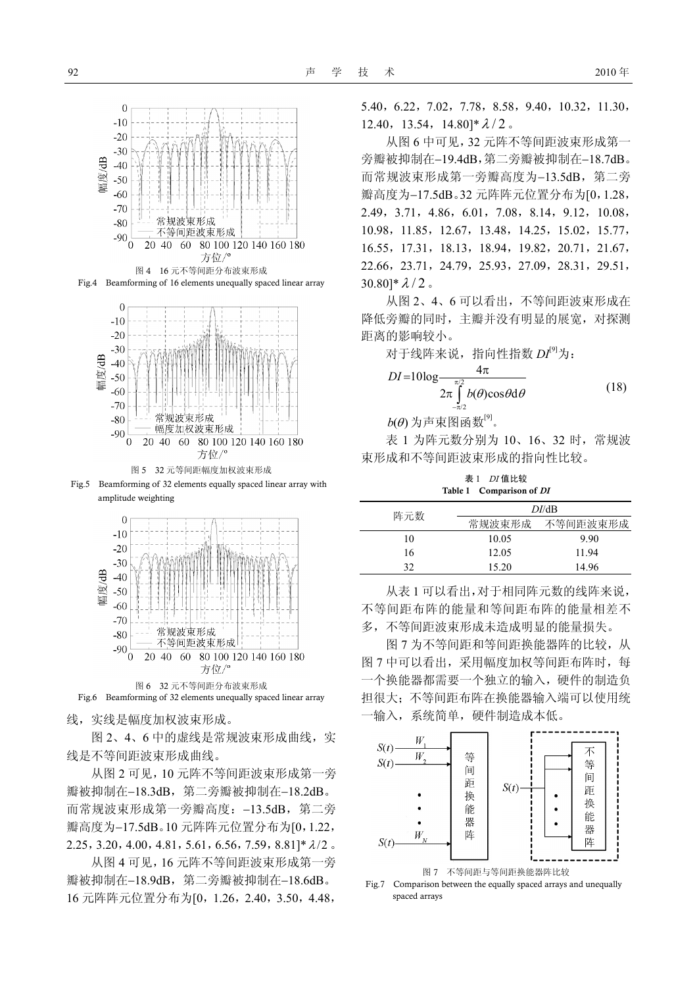

Fig.4 Beamforming of 16 elements unequally spaced linear array



Fig.5 Beamforming of 32 elements equally spaced linear array with amplitude weighting



Fig.6 Beamforming of 32 elements unequally spaced linear array

线,实线是幅度加权波束形成。

图 2、4、6 中的虚线是常规波束形成曲线,实 线是不等间距波束形成曲线。

从图 2 可见,10 元阵不等间距波束形成第一旁 瓣被抑制在−18.3dB, 第二旁瓣被抑制在−18.2dB。 而常规波束形成第一旁瓣高度:−13.5dB,第二旁 瓣高度为−17.5dB。10 元阵阵元位置分布为[0,1.22, 2.25, 3.20, 4.00, 4.81, 5.61, 6.56, 7.59, 8.81]\*  $\lambda/2$  。

从图 4 可见,16 元阵不等间距波束形成第一旁 瓣被抑制在−18.9dB,第二旁瓣被抑制在−18.6dB。 16 元阵阵元位置分布为[0,1.26,2.40,3.50,4.48,

5.40,6.22,7.02,7.78,8.58,9.40,10.32,11.30,  $12.40, 13.54, 14.80$ ]\* $\lambda/2$ 。

从图 6 中可见,32 元阵不等间距波束形成第一 旁瓣被抑制在−19.4dB,第二旁瓣被抑制在−18.7dB。 而常规波束形成第一旁瓣高度为−13.5dB, 第二旁 瓣高度为−17.5dB。32 元阵阵元位置分布为[0,1.28, 2.49,3.71,4.86,6.01,7.08,8.14,9.12,10.08, 10.98,11.85,12.67,13.48,14.25,15.02,15.77, 16.55,17.31,18.13,18.94,19.82,20.71,21.67, 22.66,23.71,24.79,25.93,27.09,28.31,29.51,  $30.80$ <sup>\*</sup> $\lambda/2$ .

从图 2、4、6 可以看出,不等间距波束形成在 降低旁瓣的同时,主瓣并没有明显的展宽,对探测 距离的影响较小。

对于线阵来说,指向性指数 *DI*[9]为:

$$
DI = 10\log \frac{4\pi}{2\pi \int_{-\pi/2}^{\pi/2} b(\theta)\cos\theta d\theta}
$$
 (18)

 $b(\theta)$ 为声束图函数<sup>[9]</sup>。

表 1 为阵元数分别为 10、16、32 时,常规波 束形成和不等间距波束形成的指向性比较。

表 1 *DI* 值比较 Table 1 Comparison of *DI*

| 阵元数 | DI/dB  |          |
|-----|--------|----------|
|     | 常规波束形成 | 不等间距波束形成 |
| 10  | 10.05  | 9.90     |
| 16  | 12.05  | 11.94    |
| 32  | 15.20  | 14.96    |

从表 1 可以看出,对于相同阵元数的线阵来说, 不等间距布阵的能量和等间距布阵的能量相差不 多,不等间距波束形成未造成明显的能量损失。

图 7 为不等间距和等间距换能器阵的比较,从 图 7 中可以看出, 采用幅度加权等间距布阵时, 每 一个换能器都需要一个独立的输入,硬件的制造负 担很大;不等间距布阵在换能器输入端可以使用统 一输入,系统简单,硬件制造成本低。